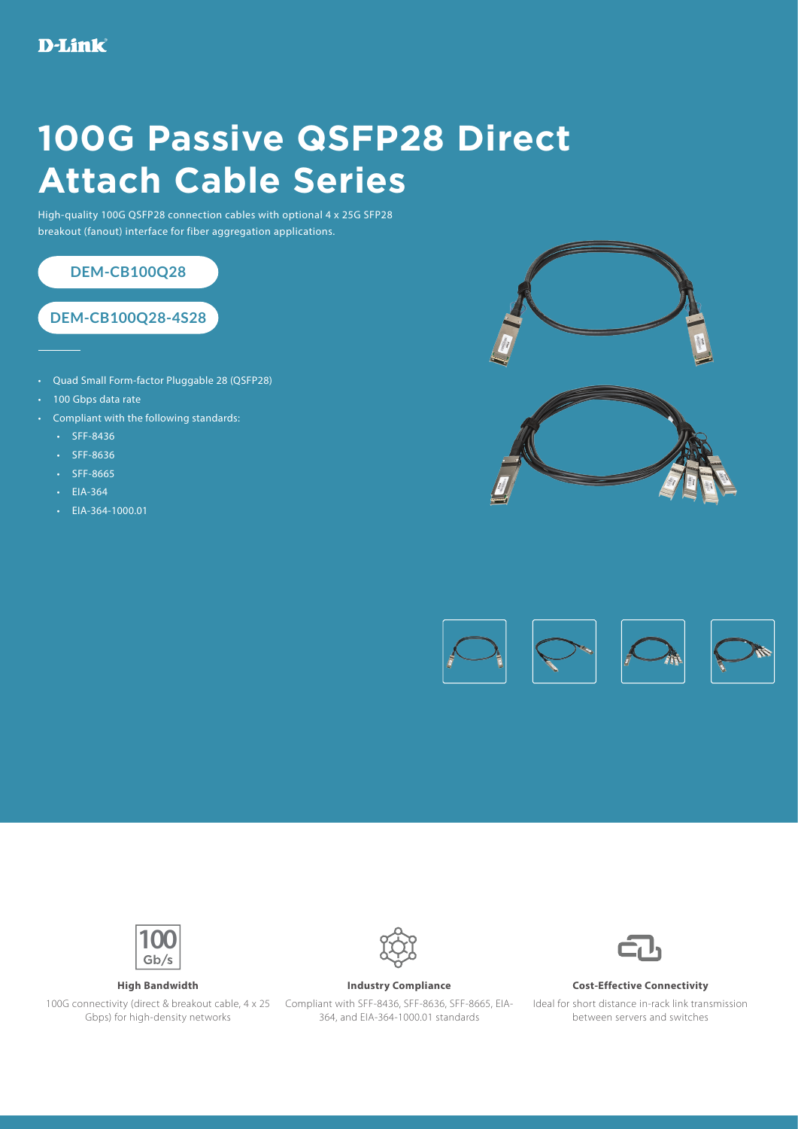## **100G Passive QSFP28 Direct Attach Cable Series**

High-quality 100G QSFP28 connection cables with optional 4 x 25G SFP28 breakout (fanout) interface for fiber aggregation applications.



- Quad Small Form-factor Pluggable 28 (QSFP28)
- 100 Gbps data rate
- Compliant with the following standards:
	- SFF-8436
	- SFF-8636
	- SFF-8665
	- EIA-364
	- EIA-364-1000.01







Gbps) for high-density networks



100G connectivity (direct & breakout cable, 4 x 25 Compliant with SFF-8436, SFF-8636, SFF-8665, EIA-364, and EIA-364-1000.01 standards



## **High Bandwidth Industry Compliance Cost-Effective Connectivity**

Ideal for short distance in-rack link transmission between servers and switches